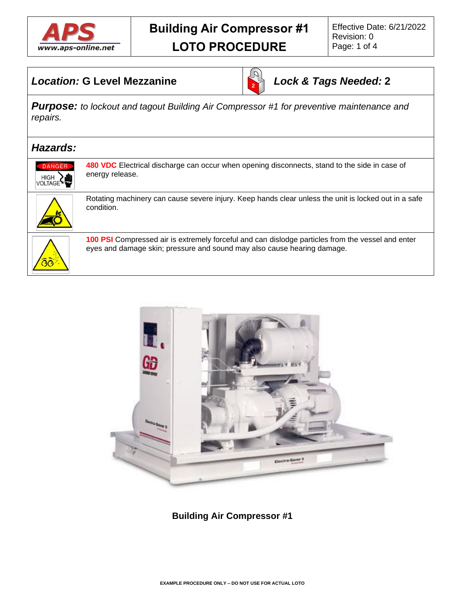

#### *Location:* **G Level Mezzanine**



#### *Lock & Tags Needed:* **2**

*Purpose: to lockout and tagout Building Air Compressor #1 for preventive maintenance and repairs.*

#### *Hazards:*



**480 VDC** Electrical discharge can occur when opening disconnects, stand to the side in case of energy release.



Rotating machinery can cause severe injury. Keep hands clear unless the unit is locked out in a safe condition.



**100 PSI** Compressed air is extremely forceful and can dislodge particles from the vessel and enter eyes and damage skin; pressure and sound may also cause hearing damage.



**Building Air Compressor #1**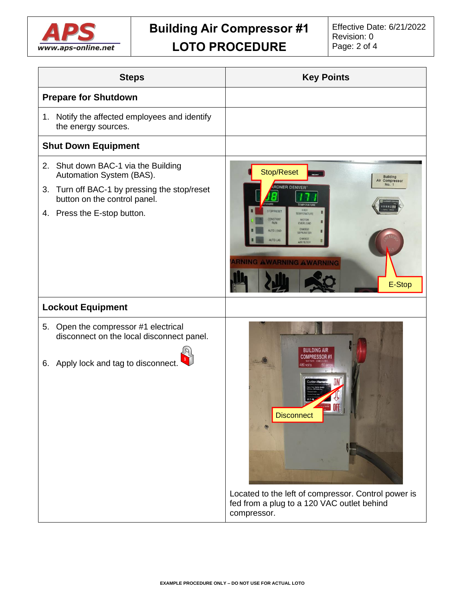

| <b>Steps</b>                                                                                                                                                                         | <b>Key Points</b>                                                                                                                                                                                                                              |
|--------------------------------------------------------------------------------------------------------------------------------------------------------------------------------------|------------------------------------------------------------------------------------------------------------------------------------------------------------------------------------------------------------------------------------------------|
| <b>Prepare for Shutdown</b>                                                                                                                                                          |                                                                                                                                                                                                                                                |
| 1. Notify the affected employees and identify<br>the energy sources.                                                                                                                 |                                                                                                                                                                                                                                                |
| <b>Shut Down Equipment</b>                                                                                                                                                           |                                                                                                                                                                                                                                                |
| 2. Shut down BAC-1 via the Building<br>Automation System (BAS).<br>Turn off BAC-1 by pressing the stop/reset<br>3.<br>button on the control panel.<br>Press the E-stop button.<br>4. | Stop/Reset<br>Building<br>Air Compressor<br>No. 1<br><b>RDNER DENVER</b><br>HIGH<br>STOP/RESET<br>TEMPERATURE<br>CONSTANT<br>MOTOR<br>RUN<br>OVERLOAD<br>CHANGE<br>AUTO LEAD<br>SEPARATOR<br>CHANGE<br>AUTO LAG<br><b>AIR FILTER</b><br>E-Stop |
| <b>Lockout Equipment</b>                                                                                                                                                             |                                                                                                                                                                                                                                                |
| 5. Open the compressor #1 electrical<br>disconnect on the local disconnect panel.<br>Apply lock and tag to disconnect.<br>6.                                                         | RUILDING AL<br><b>Disconnect</b><br>Located to the left of compressor. Control power is                                                                                                                                                        |
|                                                                                                                                                                                      | fed from a plug to a 120 VAC outlet behind<br>compressor.                                                                                                                                                                                      |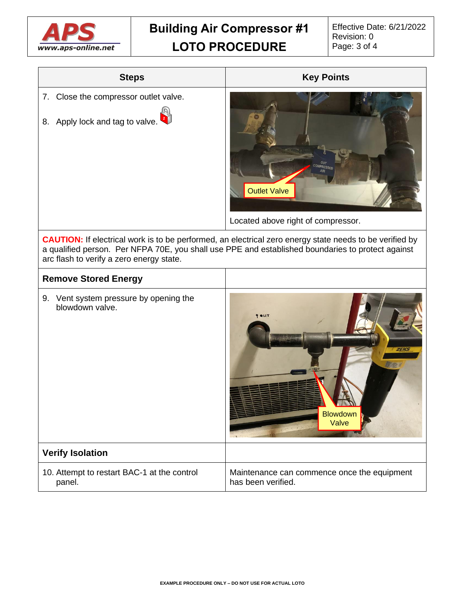

# **Steps Key Points** 7. Close the compressor outlet valve. 8. Apply lock and tag to valve. **2** Located above right of compressor. Outlet Valve

**CAUTION:** If electrical work is to be performed, an electrical zero energy state needs to be verified by a qualified person. Per NFPA 70E, you shall use PPE and established boundaries to protect against arc flash to verify a zero energy state.

| <b>Remove Stored Energy</b>                               |                                                                   |
|-----------------------------------------------------------|-------------------------------------------------------------------|
| 9. Vent system pressure by opening the<br>blowdown valve. | TUT <sub>1</sub><br><b>ZEKS</b><br><b>Blowdown</b><br>Valve       |
| <b>Verify Isolation</b>                                   |                                                                   |
| 10. Attempt to restart BAC-1 at the control<br>panel.     | Maintenance can commence once the equipment<br>has been verified. |